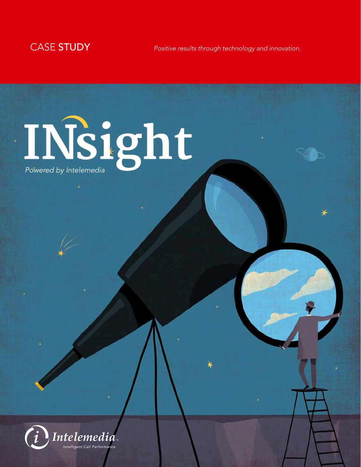

CASE STUDY *Positive results through technology and innovation.*

# *Powered by Intelemedia*

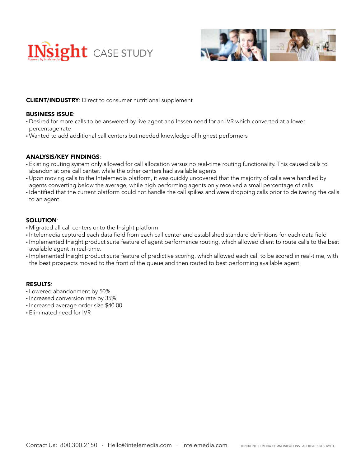



# CLIENT/INDUSTRY: Direct to consumer nutritional supplement

### BUSINESS ISSUE:

- Desired for more calls to be answered by live agent and lessen need for an IVR which converted at a lower percentage rate
- Wanted to add additional call centers but needed knowledge of highest performers

## ANALYSIS/KEY FINDINGS:

- Existing routing system only allowed for call allocation versus no real-time routing functionality. This caused calls to abandon at one call center, while the other centers had available agents
- Upon moving calls to the Intelemedia platform, it was quickly uncovered that the majority of calls were handled by agents converting below the average, while high performing agents only received a small percentage of calls
- Identified that the current platform could not handle the call spikes and were dropping calls prior to delivering the calls to an agent.

# SOLUTION:

- Migrated all call centers onto the Insight platform
- Intelemedia captured each data field from each call center and established standard definitions for each data field
- Implemented Insight product suite feature of agent performance routing, which allowed client to route calls to the best available agent in real-time.
- Implemented Insight product suite feature of predictive scoring, which allowed each call to be scored in real-time, with the best prospects moved to the front of the queue and then routed to best performing available agent.

## RESULTS:

- Lowered abandonment by 50%
- Increased conversion rate by 35%
- Increased average order size \$40.00
- Eliminated need for IVR